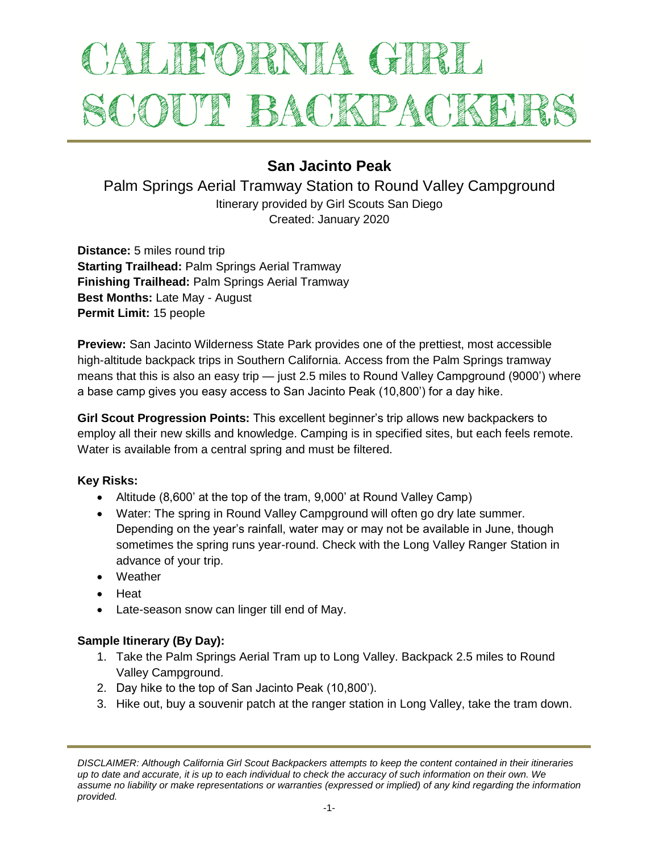# ALIFORNIA GIRI SCOUT BACKPACKEI

# **San Jacinto Peak**

Palm Springs Aerial Tramway Station to Round Valley Campground Itinerary provided by Girl Scouts San Diego Created: January 2020

**Distance:** 5 miles round trip **Starting Trailhead:** Palm Springs Aerial Tramway **Finishing Trailhead:** Palm Springs Aerial Tramway **Best Months:** Late May - August **Permit Limit:** 15 people

**Preview:** San Jacinto Wilderness State Park provides one of the prettiest, most accessible high-altitude backpack trips in Southern California. Access from the Palm Springs tramway means that this is also an easy trip — just 2.5 miles to Round Valley Campground (9000') where a base camp gives you easy access to San Jacinto Peak (10,800') for a day hike.

**Girl Scout Progression Points:** This excellent beginner's trip allows new backpackers to employ all their new skills and knowledge. Camping is in specified sites, but each feels remote. Water is available from a central spring and must be filtered.

## **Key Risks:**

- Altitude (8,600' at the top of the tram, 9,000' at Round Valley Camp)
- Water: The spring in Round Valley Campground will often go dry late summer. Depending on the year's rainfall, water may or may not be available in June, though sometimes the spring runs year-round. Check with the Long Valley Ranger Station in advance of your trip.
- Weather
- Heat
- Late-season snow can linger till end of May.

#### **Sample Itinerary (By Day):**

- 1. Take the Palm Springs Aerial Tram up to Long Valley. Backpack 2.5 miles to Round Valley Campground.
- 2. Day hike to the top of San Jacinto Peak (10,800').
- 3. Hike out, buy a souvenir patch at the ranger station in Long Valley, take the tram down.

*DISCLAIMER: Although California Girl Scout Backpackers attempts to keep the content contained in their itineraries up to date and accurate, it is up to each individual to check the accuracy of such information on their own. We assume no liability or make representations or warranties (expressed or implied) of any kind regarding the information provided.*